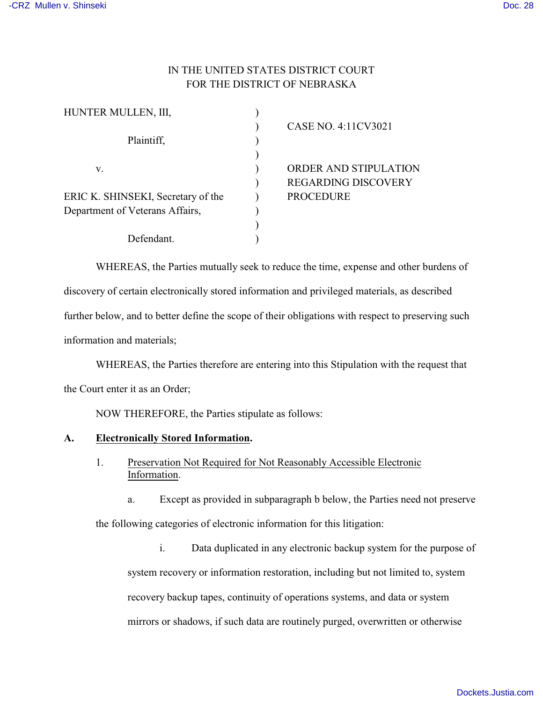## IN THE UNITED STATES DISTRICT COURT FOR THE DISTRICT OF NEBRASKA

| HUNTER MULLEN, III,                |                              |
|------------------------------------|------------------------------|
|                                    | CASE NO. 4:11CV3021          |
| Plaintiff,                         |                              |
|                                    |                              |
| v.                                 | <b>ORDER AND STIPULATION</b> |
|                                    | <b>REGARDING DISCOVERY</b>   |
| ERIC K. SHINSEKI, Secretary of the | <b>PROCEDURE</b>             |
| Department of Veterans Affairs,    |                              |
|                                    |                              |
| Defendant.                         |                              |

WHEREAS, the Parties mutually seek to reduce the time, expense and other burdens of discovery of certain electronically stored information and privileged materials, as described further below, and to better define the scope of their obligations with respect to preserving such information and materials;

WHEREAS, the Parties therefore are entering into this Stipulation with the request that the Court enter it as an Order;

NOW THEREFORE, the Parties stipulate as follows:

## **A. Electronically Stored Information.**

- 1. Preservation Not Required for Not Reasonably Accessible Electronic Information.
	- a. Except as provided in subparagraph b below, the Parties need not preserve

the following categories of electronic information for this litigation:

i. Data duplicated in any electronic backup system for the purpose of system recovery or information restoration, including but not limited to, system recovery backup tapes, continuity of operations systems, and data or system mirrors or shadows, if such data are routinely purged, overwritten or otherwise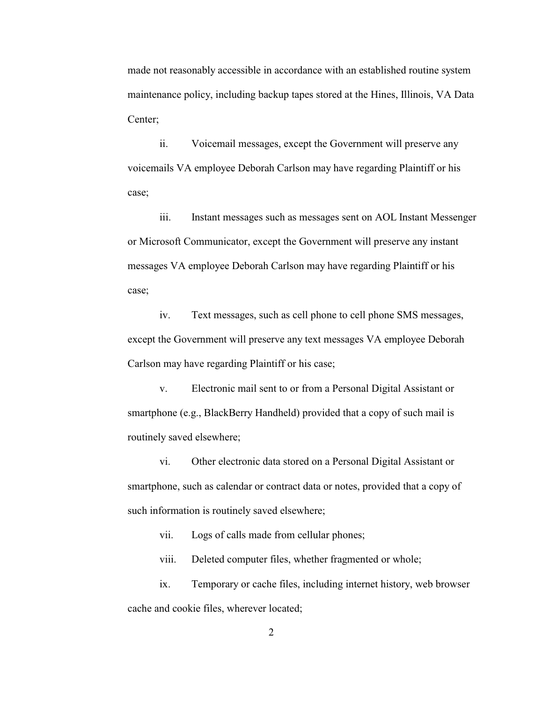made not reasonably accessible in accordance with an established routine system maintenance policy, including backup tapes stored at the Hines, Illinois, VA Data Center;

ii. Voicemail messages, except the Government will preserve any voicemails VA employee Deborah Carlson may have regarding Plaintiff or his case;

iii. Instant messages such as messages sent on AOL Instant Messenger or Microsoft Communicator, except the Government will preserve any instant messages VA employee Deborah Carlson may have regarding Plaintiff or his case;

iv. Text messages, such as cell phone to cell phone SMS messages, except the Government will preserve any text messages VA employee Deborah Carlson may have regarding Plaintiff or his case;

v. Electronic mail sent to or from a Personal Digital Assistant or smartphone (e.g., BlackBerry Handheld) provided that a copy of such mail is routinely saved elsewhere;

vi. Other electronic data stored on a Personal Digital Assistant or smartphone, such as calendar or contract data or notes, provided that a copy of such information is routinely saved elsewhere;

vii. Logs of calls made from cellular phones;

viii. Deleted computer files, whether fragmented or whole;

ix. Temporary or cache files, including internet history, web browser cache and cookie files, wherever located;

2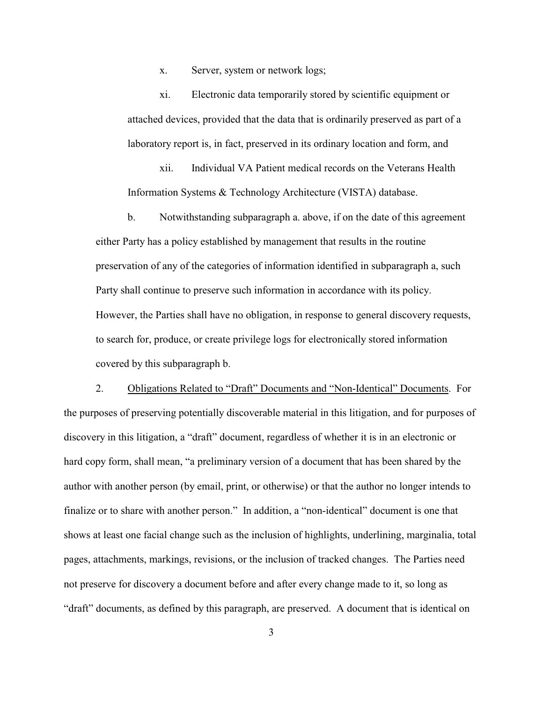x. Server, system or network logs;

xi. Electronic data temporarily stored by scientific equipment or attached devices, provided that the data that is ordinarily preserved as part of a laboratory report is, in fact, preserved in its ordinary location and form, and

xii. Individual VA Patient medical records on the Veterans Health Information Systems & Technology Architecture (VISTA) database.

b. Notwithstanding subparagraph a. above, if on the date of this agreement either Party has a policy established by management that results in the routine preservation of any of the categories of information identified in subparagraph a, such Party shall continue to preserve such information in accordance with its policy. However, the Parties shall have no obligation, in response to general discovery requests, to search for, produce, or create privilege logs for electronically stored information covered by this subparagraph b.

2. Obligations Related to "Draft" Documents and "Non-Identical" Documents. For the purposes of preserving potentially discoverable material in this litigation, and for purposes of discovery in this litigation, a "draft" document, regardless of whether it is in an electronic or hard copy form, shall mean, "a preliminary version of a document that has been shared by the author with another person (by email, print, or otherwise) or that the author no longer intends to finalize or to share with another person." In addition, a "non-identical" document is one that shows at least one facial change such as the inclusion of highlights, underlining, marginalia, total pages, attachments, markings, revisions, or the inclusion of tracked changes. The Parties need not preserve for discovery a document before and after every change made to it, so long as "draft" documents, as defined by this paragraph, are preserved. A document that is identical on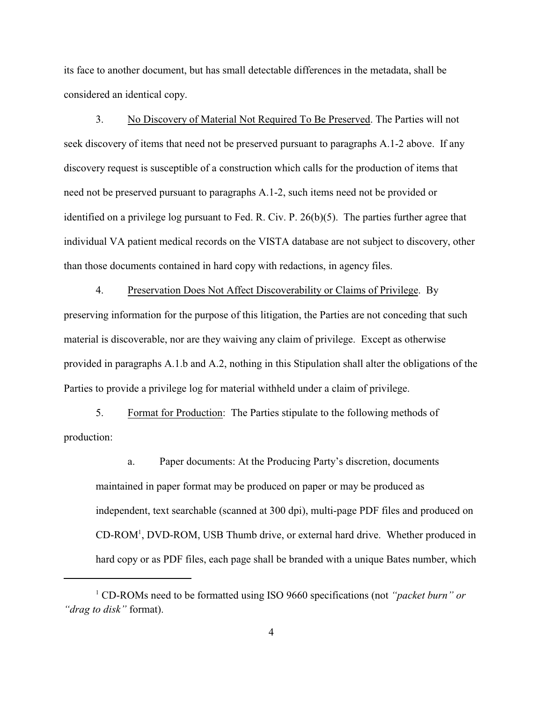its face to another document, but has small detectable differences in the metadata, shall be considered an identical copy.

3. No Discovery of Material Not Required To Be Preserved. The Parties will not seek discovery of items that need not be preserved pursuant to paragraphs A.1-2 above. If any discovery request is susceptible of a construction which calls for the production of items that need not be preserved pursuant to paragraphs A.1-2, such items need not be provided or identified on a privilege log pursuant to Fed. R. Civ. P. 26(b)(5). The parties further agree that individual VA patient medical records on the VISTA database are not subject to discovery, other than those documents contained in hard copy with redactions, in agency files.

4. Preservation Does Not Affect Discoverability or Claims of Privilege. By preserving information for the purpose of this litigation, the Parties are not conceding that such material is discoverable, nor are they waiving any claim of privilege. Except as otherwise provided in paragraphs A.1.b and A.2, nothing in this Stipulation shall alter the obligations of the Parties to provide a privilege log for material withheld under a claim of privilege.

5. Format for Production: The Parties stipulate to the following methods of production:

a. Paper documents: At the Producing Party's discretion, documents maintained in paper format may be produced on paper or may be produced as independent, text searchable (scanned at 300 dpi), multi-page PDF files and produced on  $CD-ROM<sup>1</sup>$ , DVD-ROM, USB Thumb drive, or external hard drive. Whether produced in hard copy or as PDF files, each page shall be branded with a unique Bates number, which

CD-ROMs need to be formatted using ISO 9660 specifications (not *"packet burn" or* <sup>1</sup> *"drag to disk"* format).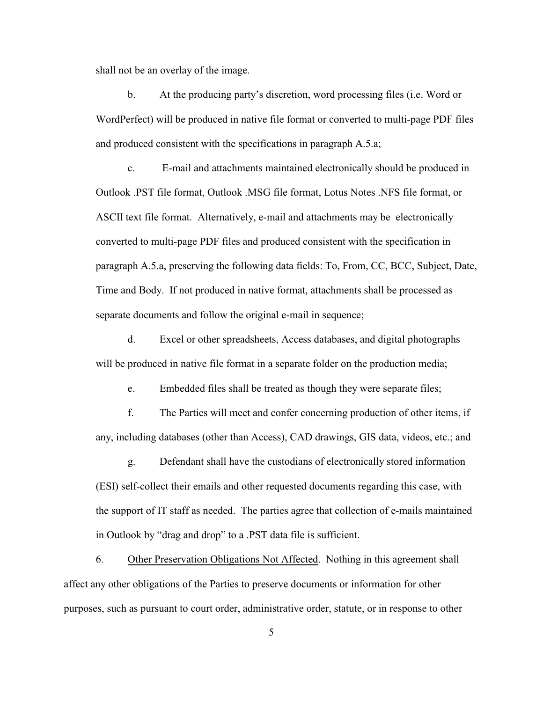shall not be an overlay of the image.

b. At the producing party's discretion, word processing files (i.e. Word or WordPerfect) will be produced in native file format or converted to multi-page PDF files and produced consistent with the specifications in paragraph A.5.a;

c. E-mail and attachments maintained electronically should be produced in Outlook .PST file format, Outlook .MSG file format, Lotus Notes .NFS file format, or ASCII text file format. Alternatively, e-mail and attachments may be electronically converted to multi-page PDF files and produced consistent with the specification in paragraph A.5.a, preserving the following data fields: To, From, CC, BCC, Subject, Date, Time and Body. If not produced in native format, attachments shall be processed as separate documents and follow the original e-mail in sequence;

d. Excel or other spreadsheets, Access databases, and digital photographs will be produced in native file format in a separate folder on the production media;

e. Embedded files shall be treated as though they were separate files;

f. The Parties will meet and confer concerning production of other items, if any, including databases (other than Access), CAD drawings, GIS data, videos, etc.; and

g. Defendant shall have the custodians of electronically stored information (ESI) self-collect their emails and other requested documents regarding this case, with the support of IT staff as needed. The parties agree that collection of e-mails maintained in Outlook by "drag and drop" to a .PST data file is sufficient.

6. Other Preservation Obligations Not Affected. Nothing in this agreement shall affect any other obligations of the Parties to preserve documents or information for other purposes, such as pursuant to court order, administrative order, statute, or in response to other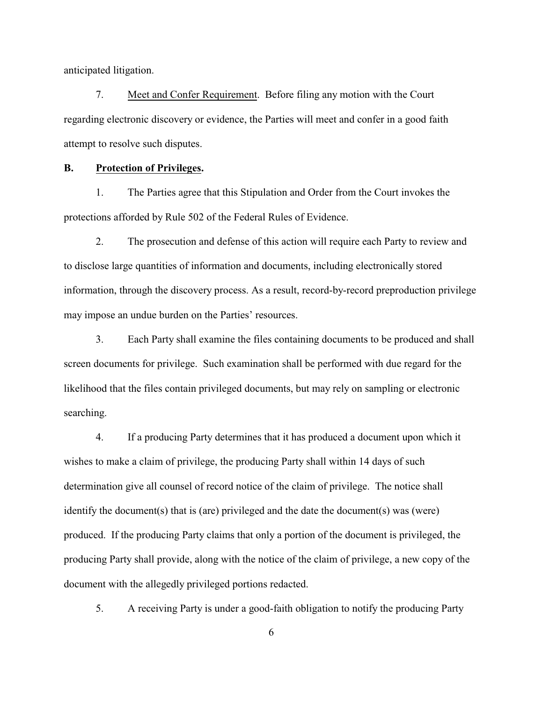anticipated litigation.

7. Meet and Confer Requirement. Before filing any motion with the Court regarding electronic discovery or evidence, the Parties will meet and confer in a good faith attempt to resolve such disputes.

## **B. Protection of Privileges.**

1. The Parties agree that this Stipulation and Order from the Court invokes the protections afforded by Rule 502 of the Federal Rules of Evidence.

2. The prosecution and defense of this action will require each Party to review and to disclose large quantities of information and documents, including electronically stored information, through the discovery process. As a result, record-by-record preproduction privilege may impose an undue burden on the Parties' resources.

3. Each Party shall examine the files containing documents to be produced and shall screen documents for privilege. Such examination shall be performed with due regard for the likelihood that the files contain privileged documents, but may rely on sampling or electronic searching.

4. If a producing Party determines that it has produced a document upon which it wishes to make a claim of privilege, the producing Party shall within 14 days of such determination give all counsel of record notice of the claim of privilege. The notice shall identify the document(s) that is (are) privileged and the date the document(s) was (were) produced. If the producing Party claims that only a portion of the document is privileged, the producing Party shall provide, along with the notice of the claim of privilege, a new copy of the document with the allegedly privileged portions redacted.

5. A receiving Party is under a good-faith obligation to notify the producing Party

6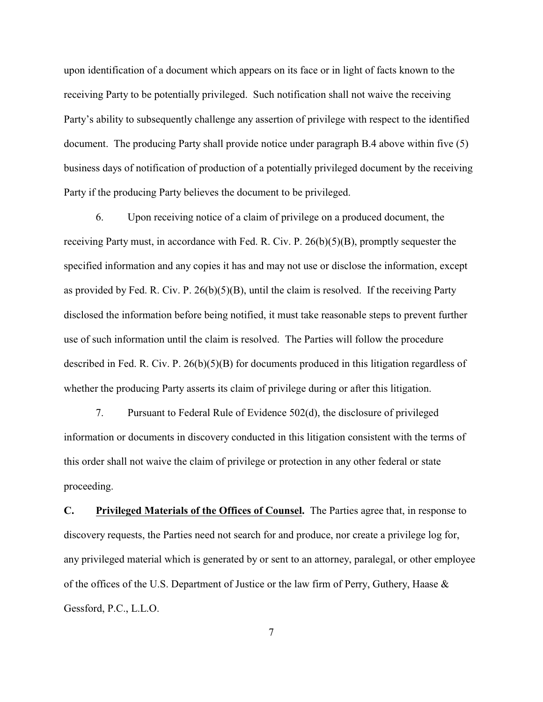upon identification of a document which appears on its face or in light of facts known to the receiving Party to be potentially privileged. Such notification shall not waive the receiving Party's ability to subsequently challenge any assertion of privilege with respect to the identified document. The producing Party shall provide notice under paragraph B.4 above within five (5) business days of notification of production of a potentially privileged document by the receiving Party if the producing Party believes the document to be privileged.

6. Upon receiving notice of a claim of privilege on a produced document, the receiving Party must, in accordance with Fed. R. Civ. P. 26(b)(5)(B), promptly sequester the specified information and any copies it has and may not use or disclose the information, except as provided by Fed. R. Civ. P.  $26(b)(5)(B)$ , until the claim is resolved. If the receiving Party disclosed the information before being notified, it must take reasonable steps to prevent further use of such information until the claim is resolved. The Parties will follow the procedure described in Fed. R. Civ. P. 26(b)(5)(B) for documents produced in this litigation regardless of whether the producing Party asserts its claim of privilege during or after this litigation.

7. Pursuant to Federal Rule of Evidence 502(d), the disclosure of privileged information or documents in discovery conducted in this litigation consistent with the terms of this order shall not waive the claim of privilege or protection in any other federal or state proceeding.

**C. Privileged Materials of the Offices of Counsel.** The Parties agree that, in response to discovery requests, the Parties need not search for and produce, nor create a privilege log for, any privileged material which is generated by or sent to an attorney, paralegal, or other employee of the offices of the U.S. Department of Justice or the law firm of Perry, Guthery, Haase & Gessford, P.C., L.L.O.

7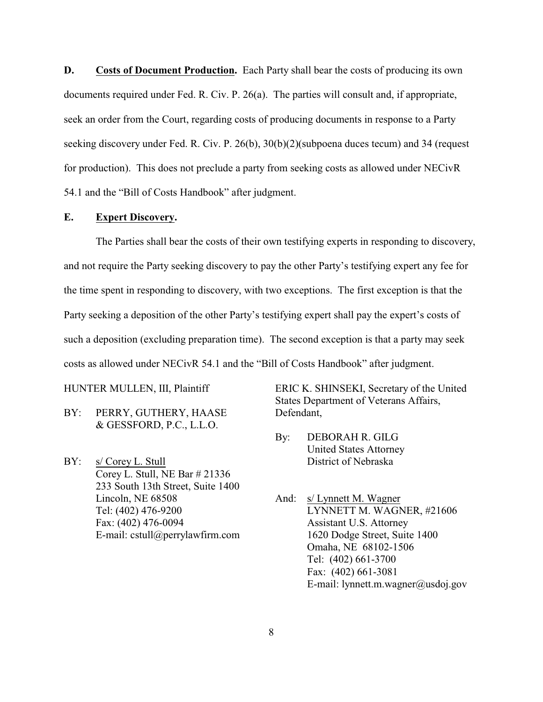**D. Costs of Document Production.** Each Party shall bear the costs of producing its own documents required under Fed. R. Civ. P. 26(a). The parties will consult and, if appropriate, seek an order from the Court, regarding costs of producing documents in response to a Party seeking discovery under Fed. R. Civ. P. 26(b), 30(b)(2)(subpoena duces tecum) and 34 (request for production). This does not preclude a party from seeking costs as allowed under NECivR 54.1 and the "Bill of Costs Handbook" after judgment.

## **E. Expert Discovery.**

The Parties shall bear the costs of their own testifying experts in responding to discovery, and not require the Party seeking discovery to pay the other Party's testifying expert any fee for the time spent in responding to discovery, with two exceptions. The first exception is that the Party seeking a deposition of the other Party's testifying expert shall pay the expert's costs of such a deposition (excluding preparation time). The second exception is that a party may seek costs as allowed under NECivR 54.1 and the "Bill of Costs Handbook" after judgment.

HUNTER MULLEN, III, Plaintiff

- BY: PERRY, GUTHERY, HAASE & GESSFORD, P.C., L.L.O.
- BY: s/ Corey L. Stull Corey L. Stull, NE Bar # 21336 233 South 13th Street, Suite 1400 Lincoln, NE 68508 Tel: (402) 476-9200 Fax: (402) 476-0094 E-mail: cstull@perrylawfirm.com

ERIC K. SHINSEKI, Secretary of the United States Department of Veterans Affairs, Defendant,

- By: DEBORAH R. GILG United States Attorney District of Nebraska
- And: s/ Lynnett M. Wagner LYNNETT M. WAGNER, #21606 Assistant U.S. Attorney 1620 Dodge Street, Suite 1400 Omaha, NE 68102-1506 Tel: (402) 661-3700 Fax: (402) 661-3081 E-mail: lynnett.m.wagner@usdoj.gov